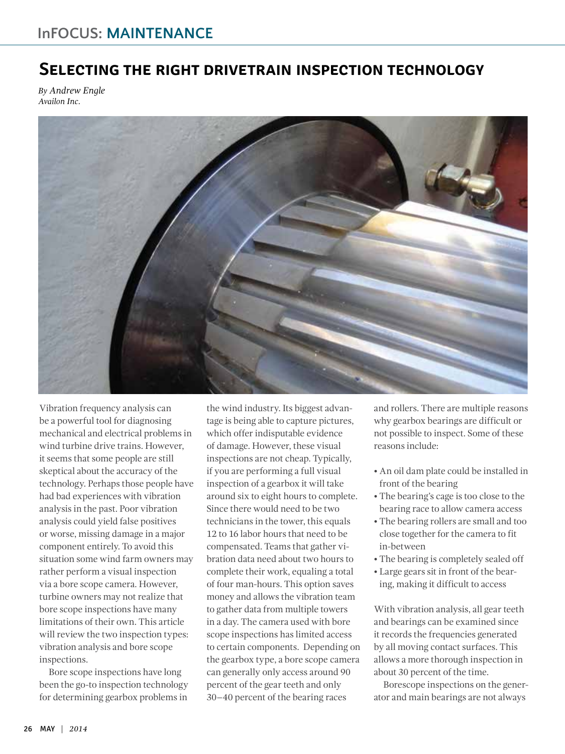## **Selecting the right drivetrain inspection technology**

*By Andrew Engle Availon Inc.*



Vibration frequency analysis can be a powerful tool for diagnosing mechanical and electrical problems in wind turbine drive trains. However, it seems that some people are still skeptical about the accuracy of the technology. Perhaps those people have had bad experiences with vibration analysis in the past. Poor vibration analysis could yield false positives or worse, missing damage in a major component entirely. To avoid this situation some wind farm owners may rather perform a visual inspection via a bore scope camera. However, turbine owners may not realize that bore scope inspections have many limitations of their own. This article will review the two inspection types: vibration analysis and bore scope inspections.

Bore scope inspections have long been the go-to inspection technology for determining gearbox problems in

the wind industry. Its biggest advantage is being able to capture pictures, which offer indisputable evidence of damage. However, these visual inspections are not cheap. Typically, if you are performing a full visual inspection of a gearbox it will take around six to eight hours to complete. Since there would need to be two technicians in the tower, this equals 12 to 16 labor hours that need to be compensated. Teams that gather vibration data need about two hours to complete their work, equaling a total of four man-hours. This option saves money and allows the vibration team to gather data from multiple towers in a day. The camera used with bore scope inspections has limited access to certain components. Depending on the gearbox type, a bore scope camera can generally only access around 90 percent of the gear teeth and only 30–40 percent of the bearing races

and rollers. There are multiple reasons why gearbox bearings are difficult or not possible to inspect. Some of these reasons include:

- An oil dam plate could be installed in front of the bearing
- The bearing's cage is too close to the bearing race to allow camera access
- The bearing rollers are small and too close together for the camera to fit in-between
- The bearing is completely sealed off
- Large gears sit in front of the bearing, making it difficult to access

With vibration analysis, all gear teeth and bearings can be examined since it records the frequencies generated by all moving contact surfaces. This allows a more thorough inspection in about 30 percent of the time.

Borescope inspections on the generator and main bearings are not always